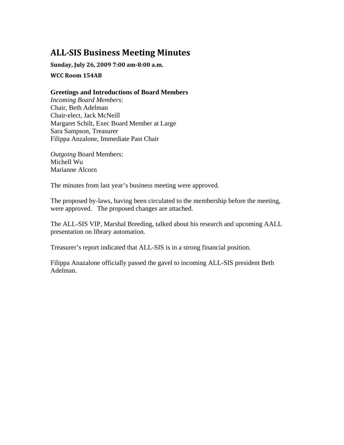# **ALLSIS Business Meeting Minutes**

**Sunday, July 26, 2009 7:00 am8:00 a.m.**

**WCC Room 154AB**

#### **Greetings and Introductions of Board Members**

*Incoming Board Members*: Chair, Beth Adelman Chair-elect, Jack McNeill Margaret Schilt, Exec Board Member at Large Sara Sampson, Treasurer Filippa Anzalone, Immediate Past Chair

*Outgoing* Board Members: Michell Wu Marianne Alcorn

The minutes from last year's business meeting were approved.

The proposed by-laws, having been circulated to the membership before the meeting, were approved. The proposed changes are attached.

The ALL-SIS VIP, Marshal Breeding, talked about his research and upcoming AALL presentation on library automation.

Treasurer's report indicated that ALL-SIS is in a strong financial position.

Filippa Anazalone officially passed the gavel to incoming ALL-SIS president Beth Adelman.